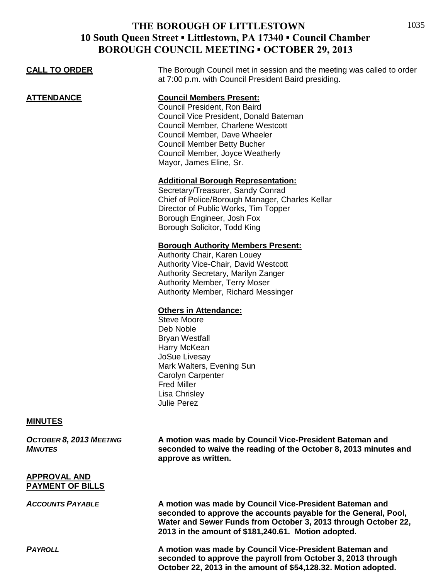| <b>CALL TO ORDER</b>                           | The Borough Council met in session and the meeting was called to order<br>at 7:00 p.m. with Council President Baird presiding.                                                                                                                                                     |
|------------------------------------------------|------------------------------------------------------------------------------------------------------------------------------------------------------------------------------------------------------------------------------------------------------------------------------------|
| <u>ATTENDANCE</u>                              | <b>Council Members Present:</b><br>Council President, Ron Baird<br>Council Vice President, Donald Bateman<br>Council Member, Charlene Westcott<br>Council Member, Dave Wheeler<br><b>Council Member Betty Bucher</b><br>Council Member, Joyce Weatherly<br>Mayor, James Eline, Sr. |
|                                                | <b>Additional Borough Representation:</b><br>Secretary/Treasurer, Sandy Conrad<br>Chief of Police/Borough Manager, Charles Kellar<br>Director of Public Works, Tim Topper<br>Borough Engineer, Josh Fox<br>Borough Solicitor, Todd King                                            |
|                                                | <b>Borough Authority Members Present:</b><br>Authority Chair, Karen Louey<br><b>Authority Vice-Chair, David Westcott</b><br>Authority Secretary, Marilyn Zanger<br><b>Authority Member, Terry Moser</b><br>Authority Member, Richard Messinger                                     |
|                                                | <b>Others in Attendance:</b><br><b>Steve Moore</b><br>Deb Noble<br><b>Bryan Westfall</b><br>Harry McKean<br>JoSue Livesay<br>Mark Walters, Evening Sun<br>Carolyn Carpenter<br><b>Fred Miller</b><br>Lisa Chrisley<br><b>Julie Perez</b>                                           |
| <b>MINUTES</b>                                 |                                                                                                                                                                                                                                                                                    |
| OCTOBER 8, 2013 MEETING<br><b>MINUTES</b>      | A motion was made by Council Vice-President Bateman and<br>seconded to waive the reading of the October 8, 2013 minutes and<br>approve as written.                                                                                                                                 |
| <b>APPROVAL AND</b><br><b>PAYMENT OF BILLS</b> |                                                                                                                                                                                                                                                                                    |
| <b>ACCOUNTS PAYABLE</b>                        | A motion was made by Council Vice-President Bateman and<br>seconded to approve the accounts payable for the General, Pool,<br>Water and Sewer Funds from October 3, 2013 through October 22,<br>2013 in the amount of \$181,240.61. Motion adopted.                                |
| <b>PAYROLL</b>                                 | A motion was made by Council Vice-President Bateman and<br>seconded to approve the payroll from October 3, 2013 through<br>October 22, 2013 in the amount of \$54,128.32. Motion adopted.                                                                                          |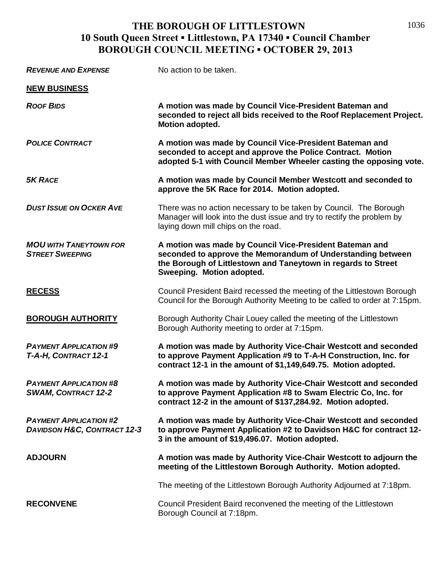| <b>REVENUE AND EXPENSE</b>                                              | No action to be taken.                                                                                                                                                                                               |
|-------------------------------------------------------------------------|----------------------------------------------------------------------------------------------------------------------------------------------------------------------------------------------------------------------|
| <b>NEW BUSINESS</b>                                                     |                                                                                                                                                                                                                      |
| <b>ROOF BIDS</b>                                                        | A motion was made by Council Vice-President Bateman and<br>seconded to reject all bids received to the Roof Replacement Project.<br>Motion adopted.                                                                  |
| <b>POLICE CONTRACT</b>                                                  | A motion was made by Council Vice-President Bateman and<br>seconded to accept and approve the Police Contract. Motion<br>adopted 5-1 with Council Member Wheeler casting the opposing vote.                          |
| <b>5K RACE</b>                                                          | A motion was made by Council Member Westcott and seconded to<br>approve the 5K Race for 2014. Motion adopted.                                                                                                        |
| <b>DUST ISSUE ON OCKER AVE</b>                                          | There was no action necessary to be taken by Council. The Borough<br>Manager will look into the dust issue and try to rectify the problem by<br>laying down mill chips on the road.                                  |
| <b>MOU WITH TANEYTOWN FOR</b><br><b>STREET SWEEPING</b>                 | A motion was made by Council Vice-President Bateman and<br>seconded to approve the Memorandum of Understanding between<br>the Borough of Littlestown and Taneytown in regards to Street<br>Sweeping. Motion adopted. |
| <b>RECESS</b>                                                           | Council President Baird recessed the meeting of the Littlestown Borough<br>Council for the Borough Authority Meeting to be called to order at 7:15pm.                                                                |
| <b>BOROUGH AUTHORITY</b>                                                | Borough Authority Chair Louey called the meeting of the Littlestown<br>Borough Authority meeting to order at 7:15pm.                                                                                                 |
| <b>PAYMENT APPLICATION #9</b><br>T-A-H, CONTRACT 12-1                   | A motion was made by Authority Vice-Chair Westcott and seconded<br>to approve Payment Application #9 to T-A-H Construction, Inc. for<br>contract 12-1 in the amount of \$1,149,649.75. Motion adopted.               |
| <b>PAYMENT APPLICATION #8</b><br><b>SWAM, CONTRACT 12-2</b>             | A motion was made by Authority Vice-Chair Westcott and seconded<br>to approve Payment Application #8 to Swam Electric Co, Inc. for<br>contract 12-2 in the amount of \$137,284.92. Motion adopted.                   |
| <b>PAYMENT APPLICATION #2</b><br><b>DAVIDSON H&amp;C, CONTRACT 12-3</b> | A motion was made by Authority Vice-Chair Westcott and seconded<br>to approve Payment Application #2 to Davidson H&C for contract 12-<br>3 in the amount of \$19,496.07. Motion adopted.                             |
| <b>ADJOURN</b>                                                          | A motion was made by Authority Vice-Chair Westcott to adjourn the<br>meeting of the Littlestown Borough Authority. Motion adopted.                                                                                   |
|                                                                         | The meeting of the Littlestown Borough Authority Adjourned at 7:18pm.                                                                                                                                                |
| <b>RECONVENE</b>                                                        | Council President Baird reconvened the meeting of the Littlestown<br>Borough Council at 7:18pm.                                                                                                                      |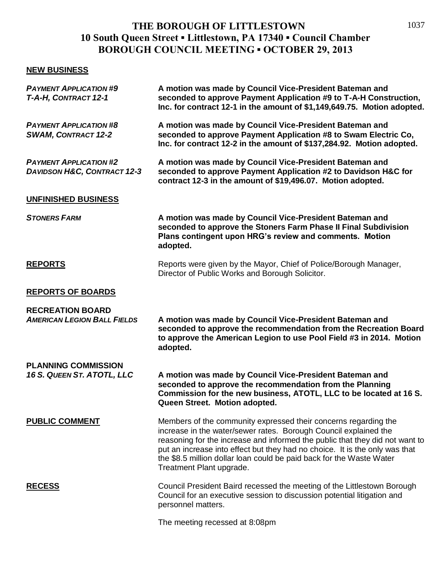### **NEW BUSINESS**

| <b>PAYMENT APPLICATION #9</b><br>T-A-H, CONTRACT 12-1                   | A motion was made by Council Vice-President Bateman and<br>seconded to approve Payment Application #9 to T-A-H Construction,<br>Inc. for contract 12-1 in the amount of \$1,149,649.75. Motion adopted.                                                                                                                                                                                                |
|-------------------------------------------------------------------------|--------------------------------------------------------------------------------------------------------------------------------------------------------------------------------------------------------------------------------------------------------------------------------------------------------------------------------------------------------------------------------------------------------|
| <b>PAYMENT APPLICATION #8</b><br><b>SWAM, CONTRACT 12-2</b>             | A motion was made by Council Vice-President Bateman and<br>seconded to approve Payment Application #8 to Swam Electric Co,<br>Inc. for contract 12-2 in the amount of \$137,284.92. Motion adopted.                                                                                                                                                                                                    |
| <b>PAYMENT APPLICATION #2</b><br><b>DAVIDSON H&amp;C, CONTRACT 12-3</b> | A motion was made by Council Vice-President Bateman and<br>seconded to approve Payment Application #2 to Davidson H&C for<br>contract 12-3 in the amount of \$19,496.07. Motion adopted.                                                                                                                                                                                                               |
| UNFINISHED BUSINESS                                                     |                                                                                                                                                                                                                                                                                                                                                                                                        |
| <b>STONERS FARM</b>                                                     | A motion was made by Council Vice-President Bateman and<br>seconded to approve the Stoners Farm Phase II Final Subdivision<br>Plans contingent upon HRG's review and comments. Motion<br>adopted.                                                                                                                                                                                                      |
| <b>REPORTS</b>                                                          | Reports were given by the Mayor, Chief of Police/Borough Manager,<br>Director of Public Works and Borough Solicitor.                                                                                                                                                                                                                                                                                   |
| <b>REPORTS OF BOARDS</b>                                                |                                                                                                                                                                                                                                                                                                                                                                                                        |
| <b>RECREATION BOARD</b><br><b>AMERICAN LEGION BALL FIELDS</b>           | A motion was made by Council Vice-President Bateman and<br>seconded to approve the recommendation from the Recreation Board<br>to approve the American Legion to use Pool Field #3 in 2014. Motion<br>adopted.                                                                                                                                                                                         |
| <b>PLANNING COMMISSION</b><br>16 S. QUEEN ST. ATOTL, LLC                | A motion was made by Council Vice-President Bateman and<br>seconded to approve the recommendation from the Planning<br>Commission for the new business, ATOTL, LLC to be located at 16 S.<br>Queen Street. Motion adopted.                                                                                                                                                                             |
| <b>PUBLIC COMMENT</b>                                                   | Members of the community expressed their concerns regarding the<br>increase in the water/sewer rates. Borough Council explained the<br>reasoning for the increase and informed the public that they did not want to<br>put an increase into effect but they had no choice. It is the only was that<br>the \$8.5 million dollar loan could be paid back for the Waste Water<br>Treatment Plant upgrade. |
| <b>RECESS</b>                                                           | Council President Baird recessed the meeting of the Littlestown Borough<br>Council for an executive session to discussion potential litigation and<br>personnel matters.                                                                                                                                                                                                                               |
|                                                                         | The meeting recessed at 8:08pm                                                                                                                                                                                                                                                                                                                                                                         |